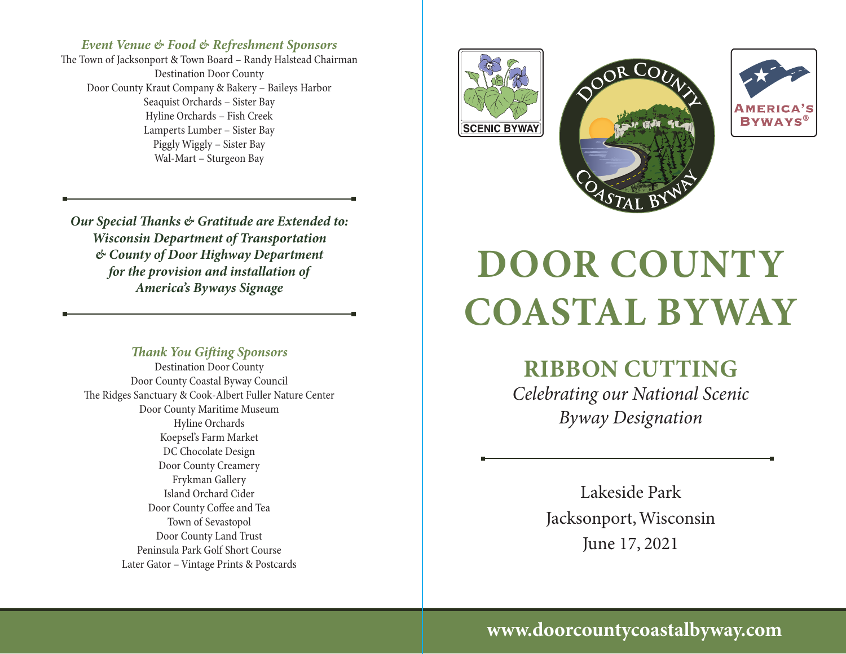### *Event Venue & Food & Refreshment Sponsors*

The Town of Jacksonport & Town Board – Randy Halstead Chairman Destination Door County Door County Kraut Company & Bakery – Baileys Harbor Seaquist Orchards – Sister Bay Hyline Orchards – Fish Creek Lamperts Lumber – Sister Bay Piggly Wiggly – Sister Bay Wal-Mart – Sturgeon Bay

*Our Special Thanks & Gratitude are Extended to: Wisconsin Department of Transportation & County of Door Highway Department for the provision and installation of America's Byways Signage*

#### *Thank You Gifting Sponsors*

Destination Door County Door County Coastal Byway Council The Ridges Sanctuary & Cook-Albert Fuller Nature Center Door County Maritime Museum Hyline Orchards Koepsel's Farm Market DC Chocolate Design Door County Creamery Frykman Gallery Island Orchard Cider Door County Coffee and Tea Town of Sevastopol Door County Land Trust Peninsula Park Golf Short Course Later Gator – Vintage Prints & Postcards



# **DOOR COUNTY COASTAL BYWAY**

**RIBBON CUTTING**

*Celebrating our National Scenic Byway Designation*

> Lakeside Park Jacksonport, Wisconsin June 17, 2021

**www.doorcountycoastalbyway.com**